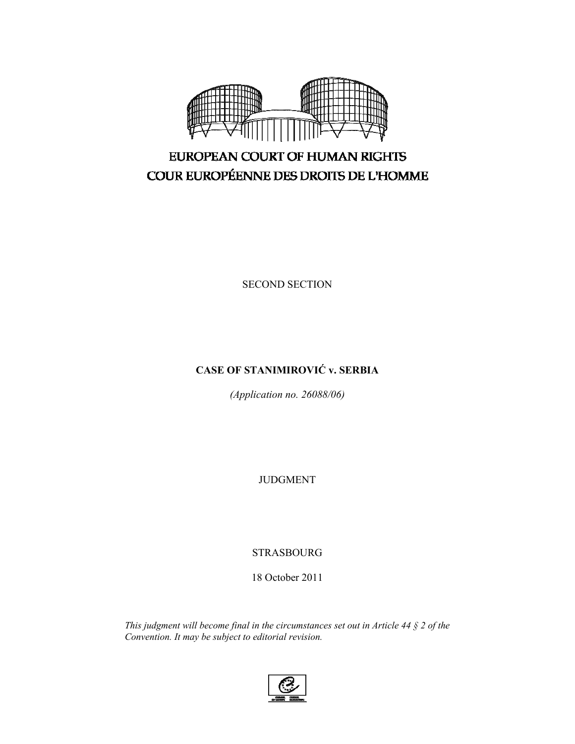

# EUROPEAN COURT OF HUMAN RIGHTS COUR EUROPÉENNE DES DROITS DE L'HOMME

SECOND SECTION

## **CASE OF STANIMIROVIĆ v. SERBIA**

*(Application no. 26088/06)* 

JUDGMENT

STRASBOURG

18 October 2011

*This judgment will become final in the circumstances set out in Article 44 § 2 of the Convention. It may be subject to editorial revision.*

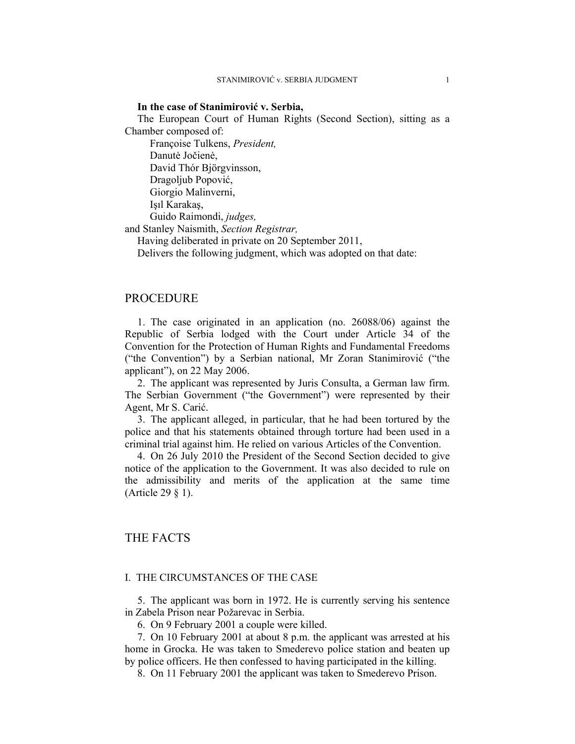#### **In the case of Stanimirović v. Serbia,**

The European Court of Human Rights (Second Section), sitting as a Chamber composed of:

Françoise Tulkens, *President,* 

Danutė Jočienė,

David Thór Björgvinsson,

 Dragoljub Popović, Giorgio Malinverni,

Işıl Karakaş,

 Guido Raimondi, *judges,* and Stanley Naismith, *Section Registrar,*

Having deliberated in private on 20 September 2011,

Delivers the following judgment, which was adopted on that date:

## PROCEDURE

1. The case originated in an application (no. 26088/06) against the Republic of Serbia lodged with the Court under Article 34 of the Convention for the Protection of Human Rights and Fundamental Freedoms ("the Convention") by a Serbian national, Mr Zoran Stanimirović ("the applicant"), on 22 May 2006.

2. The applicant was represented by Juris Consulta, a German law firm. The Serbian Government ("the Government") were represented by their Agent, Mr S. Carić.

3. The applicant alleged, in particular, that he had been tortured by the police and that his statements obtained through torture had been used in a criminal trial against him. He relied on various Articles of the Convention.

4. On 26 July 2010 the President of the Second Section decided to give notice of the application to the Government. It was also decided to rule on the admissibility and merits of the application at the same time (Article 29 § 1).

## THE FACTS

#### I. THE CIRCUMSTANCES OF THE CASE

5. The applicant was born in 1972. He is currently serving his sentence in Zabela Prison near Požarevac in Serbia.

6. On 9 February 2001 a couple were killed.

7. On 10 February 2001 at about 8 p.m. the applicant was arrested at his home in Grocka. He was taken to Smederevo police station and beaten up by police officers. He then confessed to having participated in the killing.

8. On 11 February 2001 the applicant was taken to Smederevo Prison.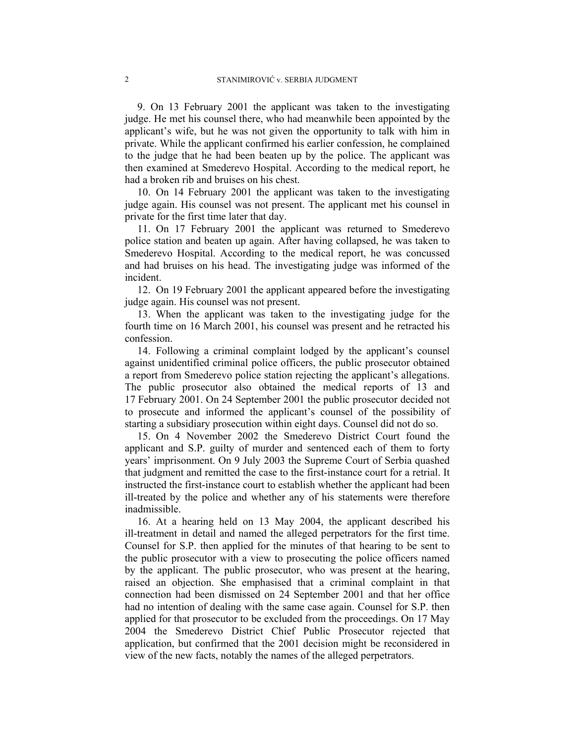9. On 13 February 2001 the applicant was taken to the investigating judge. He met his counsel there, who had meanwhile been appointed by the applicant's wife, but he was not given the opportunity to talk with him in private. While the applicant confirmed his earlier confession, he complained to the judge that he had been beaten up by the police. The applicant was then examined at Smederevo Hospital. According to the medical report, he had a broken rib and bruises on his chest.

10. On 14 February 2001 the applicant was taken to the investigating judge again. His counsel was not present. The applicant met his counsel in private for the first time later that day.

11. On 17 February 2001 the applicant was returned to Smederevo police station and beaten up again. After having collapsed, he was taken to Smederevo Hospital. According to the medical report, he was concussed and had bruises on his head. The investigating judge was informed of the incident.

12. On 19 February 2001 the applicant appeared before the investigating judge again. His counsel was not present.

13. When the applicant was taken to the investigating judge for the fourth time on 16 March 2001, his counsel was present and he retracted his confession.

14. Following a criminal complaint lodged by the applicant's counsel against unidentified criminal police officers, the public prosecutor obtained a report from Smederevo police station rejecting the applicant's allegations. The public prosecutor also obtained the medical reports of 13 and 17 February 2001. On 24 September 2001 the public prosecutor decided not to prosecute and informed the applicant's counsel of the possibility of starting a subsidiary prosecution within eight days. Counsel did not do so.

15. On 4 November 2002 the Smederevo District Court found the applicant and S.P. guilty of murder and sentenced each of them to forty years' imprisonment. On 9 July 2003 the Supreme Court of Serbia quashed that judgment and remitted the case to the first-instance court for a retrial. It instructed the first-instance court to establish whether the applicant had been ill-treated by the police and whether any of his statements were therefore inadmissible.

16. At a hearing held on 13 May 2004, the applicant described his ill-treatment in detail and named the alleged perpetrators for the first time. Counsel for S.P. then applied for the minutes of that hearing to be sent to the public prosecutor with a view to prosecuting the police officers named by the applicant. The public prosecutor, who was present at the hearing, raised an objection. She emphasised that a criminal complaint in that connection had been dismissed on 24 September 2001 and that her office had no intention of dealing with the same case again. Counsel for S.P. then applied for that prosecutor to be excluded from the proceedings. On 17 May 2004 the Smederevo District Chief Public Prosecutor rejected that application, but confirmed that the 2001 decision might be reconsidered in view of the new facts, notably the names of the alleged perpetrators.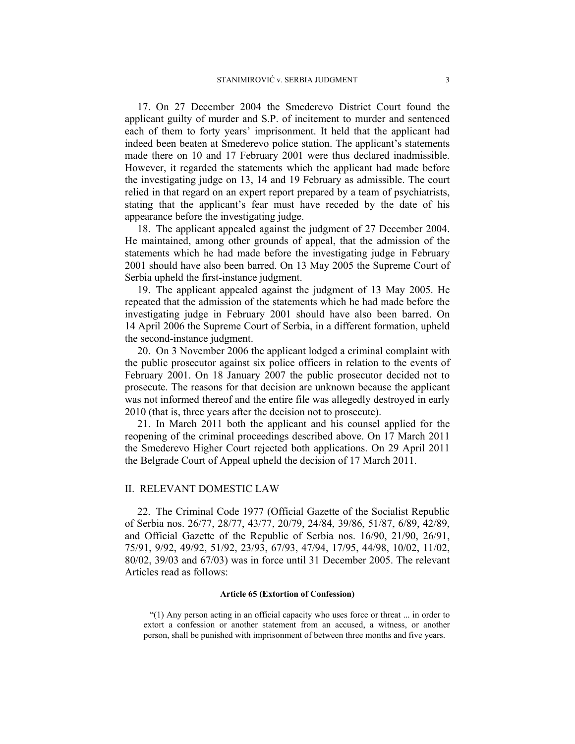17. On 27 December 2004 the Smederevo District Court found the applicant guilty of murder and S.P. of incitement to murder and sentenced each of them to forty years' imprisonment. It held that the applicant had indeed been beaten at Smederevo police station. The applicant's statements made there on 10 and 17 February 2001 were thus declared inadmissible. However, it regarded the statements which the applicant had made before the investigating judge on 13, 14 and 19 February as admissible. The court relied in that regard on an expert report prepared by a team of psychiatrists, stating that the applicant's fear must have receded by the date of his appearance before the investigating judge.

18. The applicant appealed against the judgment of 27 December 2004. He maintained, among other grounds of appeal, that the admission of the statements which he had made before the investigating judge in February 2001 should have also been barred. On 13 May 2005 the Supreme Court of Serbia upheld the first-instance judgment.

19. The applicant appealed against the judgment of 13 May 2005. He repeated that the admission of the statements which he had made before the investigating judge in February 2001 should have also been barred. On 14 April 2006 the Supreme Court of Serbia, in a different formation, upheld the second-instance judgment.

20. On 3 November 2006 the applicant lodged a criminal complaint with the public prosecutor against six police officers in relation to the events of February 2001. On 18 January 2007 the public prosecutor decided not to prosecute. The reasons for that decision are unknown because the applicant was not informed thereof and the entire file was allegedly destroyed in early 2010 (that is, three years after the decision not to prosecute).

21. In March 2011 both the applicant and his counsel applied for the reopening of the criminal proceedings described above. On 17 March 2011 the Smederevo Higher Court rejected both applications. On 29 April 2011 the Belgrade Court of Appeal upheld the decision of 17 March 2011.

#### II. RELEVANT DOMESTIC LAW

22. The Criminal Code 1977 (Official Gazette of the Socialist Republic of Serbia nos. 26/77, 28/77, 43/77, 20/79, 24/84, 39/86, 51/87, 6/89, 42/89, and Official Gazette of the Republic of Serbia nos. 16/90, 21/90, 26/91, 75/91, 9/92, 49/92, 51/92, 23/93, 67/93, 47/94, 17/95, 44/98, 10/02, 11/02, 80/02, 39/03 and 67/03) was in force until 31 December 2005. The relevant Articles read as follows:

#### **Article 65 (Extortion of Confession)**

"(1) Any person acting in an official capacity who uses force or threat ... in order to extort a confession or another statement from an accused, a witness, or another person, shall be punished with imprisonment of between three months and five years.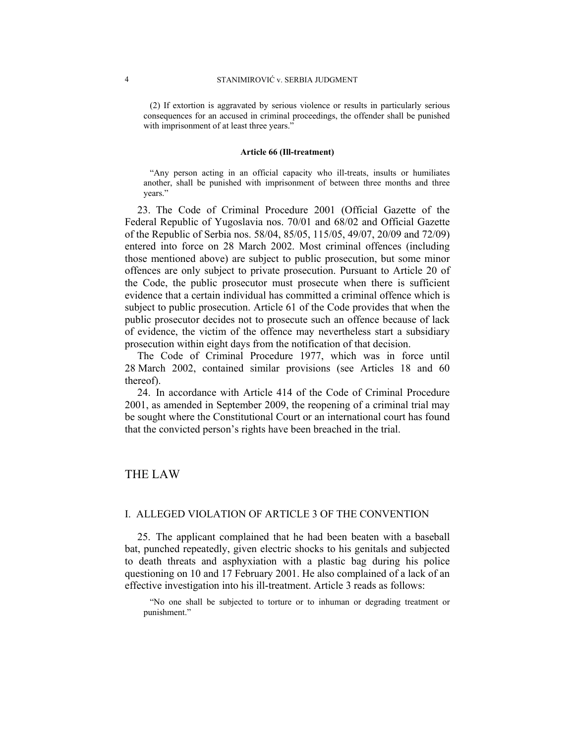(2) If extortion is aggravated by serious violence or results in particularly serious consequences for an accused in criminal proceedings, the offender shall be punished with imprisonment of at least three years."

#### **Article 66 (Ill-treatment)**

"Any person acting in an official capacity who ill-treats, insults or humiliates another, shall be punished with imprisonment of between three months and three years."

23. The Code of Criminal Procedure 2001 (Official Gazette of the Federal Republic of Yugoslavia nos. 70/01 and 68/02 and Official Gazette of the Republic of Serbia nos. 58/04, 85/05, 115/05, 49/07, 20/09 and 72/09) entered into force on 28 March 2002. Most criminal offences (including those mentioned above) are subject to public prosecution, but some minor offences are only subject to private prosecution. Pursuant to Article 20 of the Code, the public prosecutor must prosecute when there is sufficient evidence that a certain individual has committed a criminal offence which is subject to public prosecution. Article 61 of the Code provides that when the public prosecutor decides not to prosecute such an offence because of lack of evidence, the victim of the offence may nevertheless start a subsidiary prosecution within eight days from the notification of that decision.

The Code of Criminal Procedure 1977, which was in force until 28 March 2002, contained similar provisions (see Articles 18 and 60 thereof).

24. In accordance with Article 414 of the Code of Criminal Procedure 2001, as amended in September 2009, the reopening of a criminal trial may be sought where the Constitutional Court or an international court has found that the convicted person's rights have been breached in the trial.

## THE LAW

#### I. ALLEGED VIOLATION OF ARTICLE 3 OF THE CONVENTION

25. The applicant complained that he had been beaten with a baseball bat, punched repeatedly, given electric shocks to his genitals and subjected to death threats and asphyxiation with a plastic bag during his police questioning on 10 and 17 February 2001. He also complained of a lack of an effective investigation into his ill-treatment. Article 3 reads as follows:

"No one shall be subjected to torture or to inhuman or degrading treatment or punishment."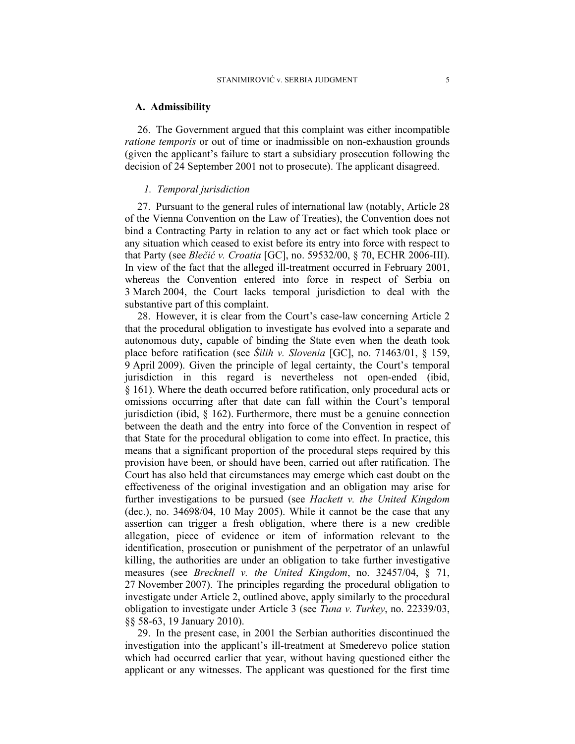#### **A. Admissibility**

26. The Government argued that this complaint was either incompatible *ratione temporis* or out of time or inadmissible on non-exhaustion grounds (given the applicant's failure to start a subsidiary prosecution following the decision of 24 September 2001 not to prosecute). The applicant disagreed.

#### *1. Temporal jurisdiction*

27. Pursuant to the general rules of international law (notably, Article 28 of the Vienna Convention on the Law of Treaties), the Convention does not bind a Contracting Party in relation to any act or fact which took place or any situation which ceased to exist before its entry into force with respect to that Party (see *Blečić v. Croatia* [GC], no. 59532/00, § 70, ECHR 2006-III). In view of the fact that the alleged ill-treatment occurred in February 2001, whereas the Convention entered into force in respect of Serbia on 3 March 2004, the Court lacks temporal jurisdiction to deal with the substantive part of this complaint.

28. However, it is clear from the Court's case-law concerning Article 2 that the procedural obligation to investigate has evolved into a separate and autonomous duty, capable of binding the State even when the death took place before ratification (see *Šilih v. Slovenia* [GC], no. 71463/01, § 159, 9 April 2009). Given the principle of legal certainty, the Court's temporal jurisdiction in this regard is nevertheless not open-ended (ibid, § 161). Where the death occurred before ratification, only procedural acts or omissions occurring after that date can fall within the Court's temporal jurisdiction (ibid, § 162). Furthermore, there must be a genuine connection between the death and the entry into force of the Convention in respect of that State for the procedural obligation to come into effect. In practice, this means that a significant proportion of the procedural steps required by this provision have been, or should have been, carried out after ratification. The Court has also held that circumstances may emerge which cast doubt on the effectiveness of the original investigation and an obligation may arise for further investigations to be pursued (see *Hackett v. the United Kingdom* (dec.), no. 34698/04, 10 May 2005). While it cannot be the case that any assertion can trigger a fresh obligation, where there is a new credible allegation, piece of evidence or item of information relevant to the identification, prosecution or punishment of the perpetrator of an unlawful killing, the authorities are under an obligation to take further investigative measures (see *Brecknell v. the United Kingdom*, no. 32457/04, § 71, 27 November 2007). The principles regarding the procedural obligation to investigate under Article 2, outlined above, apply similarly to the procedural obligation to investigate under Article 3 (see *Tuna v. Turkey*, no. 22339/03, §§ 58-63, 19 January 2010).

29. In the present case, in 2001 the Serbian authorities discontinued the investigation into the applicant's ill-treatment at Smederevo police station which had occurred earlier that year, without having questioned either the applicant or any witnesses. The applicant was questioned for the first time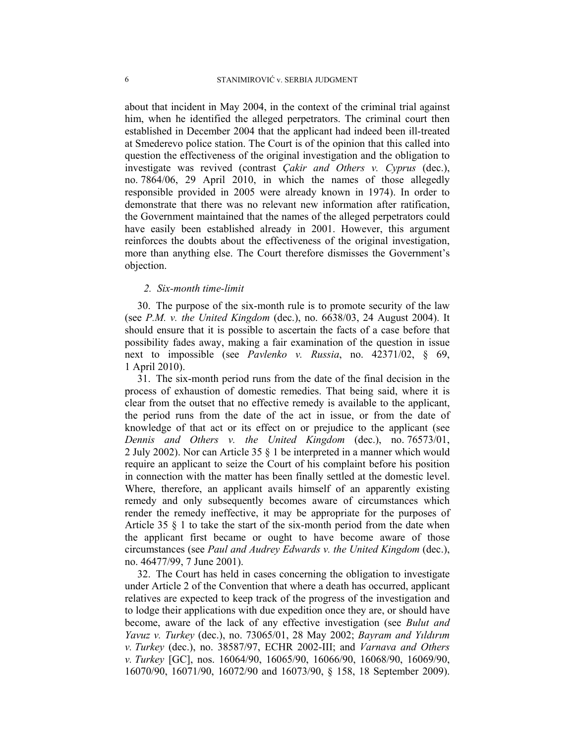about that incident in May 2004, in the context of the criminal trial against him, when he identified the alleged perpetrators. The criminal court then established in December 2004 that the applicant had indeed been ill-treated at Smederevo police station. The Court is of the opinion that this called into question the effectiveness of the original investigation and the obligation to investigate was revived (contrast *Çakir and Others v. Cyprus* (dec.), no. 7864/06, 29 April 2010, in which the names of those allegedly responsible provided in 2005 were already known in 1974). In order to demonstrate that there was no relevant new information after ratification, the Government maintained that the names of the alleged perpetrators could have easily been established already in 2001. However, this argument reinforces the doubts about the effectiveness of the original investigation, more than anything else. The Court therefore dismisses the Government's objection.

#### *2. Six-month time-limit*

30. The purpose of the six-month rule is to promote security of the law (see *P.M. v. the United Kingdom* (dec.), no. 6638/03, 24 August 2004). It should ensure that it is possible to ascertain the facts of a case before that possibility fades away, making a fair examination of the question in issue next to impossible (see *Pavlenko v. Russia*, no. 42371/02, § 69, 1 April 2010).

31. The six-month period runs from the date of the final decision in the process of exhaustion of domestic remedies. That being said, where it is clear from the outset that no effective remedy is available to the applicant, the period runs from the date of the act in issue, or from the date of knowledge of that act or its effect on or prejudice to the applicant (see *Dennis and Others v. the United Kingdom* (dec.), no. 76573/01, 2 July 2002). Nor can Article 35 § 1 be interpreted in a manner which would require an applicant to seize the Court of his complaint before his position in connection with the matter has been finally settled at the domestic level. Where, therefore, an applicant avails himself of an apparently existing remedy and only subsequently becomes aware of circumstances which render the remedy ineffective, it may be appropriate for the purposes of Article 35 § 1 to take the start of the six-month period from the date when the applicant first became or ought to have become aware of those circumstances (see *Paul and Audrey Edwards v. the United Kingdom* (dec.), no. 46477/99, 7 June 2001).

32. The Court has held in cases concerning the obligation to investigate under Article 2 of the Convention that where a death has occurred, applicant relatives are expected to keep track of the progress of the investigation and to lodge their applications with due expedition once they are, or should have become, aware of the lack of any effective investigation (see *Bulut and Yavuz v. Turkey* (dec.), no. 73065/01, 28 May 2002; *Bayram and Yıldırım v. Turkey* (dec.), no. 38587/97, ECHR 2002-III; and *Varnava and Others v. Turkey* [GC], nos. 16064/90, 16065/90, 16066/90, 16068/90, 16069/90, 16070/90, 16071/90, 16072/90 and 16073/90, § 158, 18 September 2009).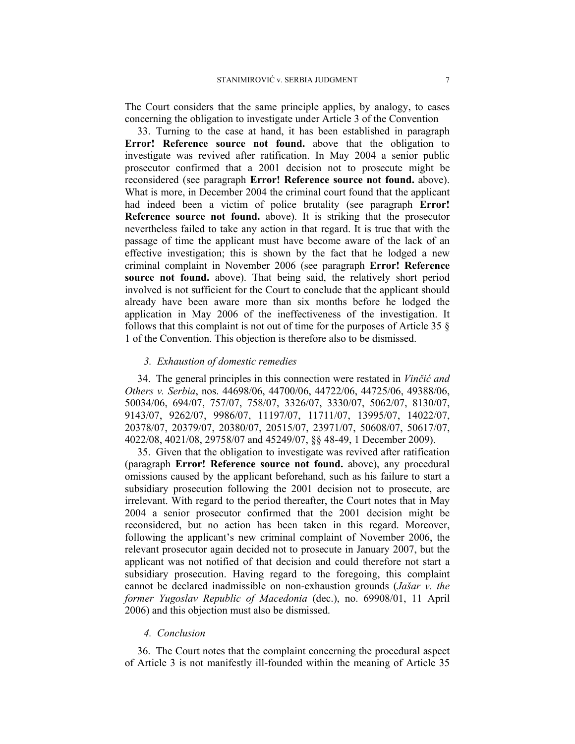The Court considers that the same principle applies, by analogy, to cases concerning the obligation to investigate under Article 3 of the Convention

33. Turning to the case at hand, it has been established in paragraph **Error! Reference source not found.** above that the obligation to investigate was revived after ratification. In May 2004 a senior public prosecutor confirmed that a 2001 decision not to prosecute might be reconsidered (see paragraph **Error! Reference source not found.** above). What is more, in December 2004 the criminal court found that the applicant had indeed been a victim of police brutality (see paragraph **Error! Reference source not found.** above). It is striking that the prosecutor nevertheless failed to take any action in that regard. It is true that with the passage of time the applicant must have become aware of the lack of an effective investigation; this is shown by the fact that he lodged a new criminal complaint in November 2006 (see paragraph **Error! Reference source not found.** above). That being said, the relatively short period involved is not sufficient for the Court to conclude that the applicant should already have been aware more than six months before he lodged the application in May 2006 of the ineffectiveness of the investigation. It follows that this complaint is not out of time for the purposes of Article 35 § 1 of the Convention. This objection is therefore also to be dismissed.

#### *3. Exhaustion of domestic remedies*

34. The general principles in this connection were restated in *Vinčić and Others v. Serbia*, nos. 44698/06, 44700/06, 44722/06, 44725/06, 49388/06, 50034/06, 694/07, 757/07, 758/07, 3326/07, 3330/07, 5062/07, 8130/07, 9143/07, 9262/07, 9986/07, 11197/07, 11711/07, 13995/07, 14022/07, 20378/07, 20379/07, 20380/07, 20515/07, 23971/07, 50608/07, 50617/07, 4022/08, 4021/08, 29758/07 and 45249/07, §§ 48-49, 1 December 2009).

35. Given that the obligation to investigate was revived after ratification (paragraph **Error! Reference source not found.** above), any procedural omissions caused by the applicant beforehand, such as his failure to start a subsidiary prosecution following the 2001 decision not to prosecute, are irrelevant. With regard to the period thereafter, the Court notes that in May 2004 a senior prosecutor confirmed that the 2001 decision might be reconsidered, but no action has been taken in this regard. Moreover, following the applicant's new criminal complaint of November 2006, the relevant prosecutor again decided not to prosecute in January 2007, but the applicant was not notified of that decision and could therefore not start a subsidiary prosecution. Having regard to the foregoing, this complaint cannot be declared inadmissible on non-exhaustion grounds (*Jašar v. the former Yugoslav Republic of Macedonia* (dec.), no. 69908/01, 11 April 2006) and this objection must also be dismissed.

#### *4. Conclusion*

36. The Court notes that the complaint concerning the procedural aspect of Article 3 is not manifestly ill-founded within the meaning of Article 35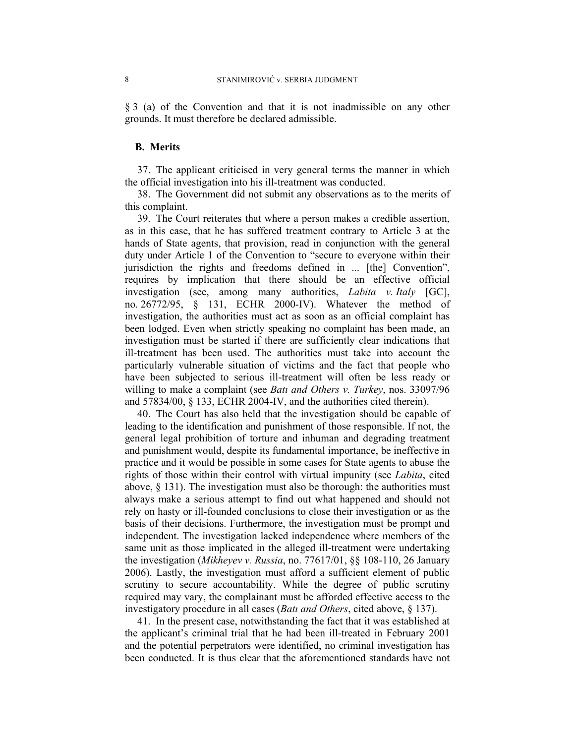§ 3 (a) of the Convention and that it is not inadmissible on any other grounds. It must therefore be declared admissible.

#### **B. Merits**

37. The applicant criticised in very general terms the manner in which the official investigation into his ill-treatment was conducted.

38. The Government did not submit any observations as to the merits of this complaint.

39. The Court reiterates that where a person makes a credible assertion, as in this case, that he has suffered treatment contrary to Article 3 at the hands of State agents, that provision, read in conjunction with the general duty under Article 1 of the Convention to "secure to everyone within their jurisdiction the rights and freedoms defined in ... [the] Convention", requires by implication that there should be an effective official investigation (see, among many authorities, *Labita v. Italy* [GC], no. 26772/95, § 131, ECHR 2000-IV). Whatever the method of investigation, the authorities must act as soon as an official complaint has been lodged. Even when strictly speaking no complaint has been made, an investigation must be started if there are sufficiently clear indications that ill-treatment has been used. The authorities must take into account the particularly vulnerable situation of victims and the fact that people who have been subjected to serious ill-treatment will often be less ready or willing to make a complaint (see *Batı and Others v. Turkey*, nos. 33097/96 and 57834/00, § 133, ECHR 2004-IV, and the authorities cited therein).

40. The Court has also held that the investigation should be capable of leading to the identification and punishment of those responsible. If not, the general legal prohibition of torture and inhuman and degrading treatment and punishment would, despite its fundamental importance, be ineffective in practice and it would be possible in some cases for State agents to abuse the rights of those within their control with virtual impunity (see *Labita*, cited above,  $\S$  131). The investigation must also be thorough: the authorities must always make a serious attempt to find out what happened and should not rely on hasty or ill-founded conclusions to close their investigation or as the basis of their decisions. Furthermore, the investigation must be prompt and independent. The investigation lacked independence where members of the same unit as those implicated in the alleged ill-treatment were undertaking the investigation (*Mikheyev v. Russia*, no. 77617/01, §§ 108-110, 26 January 2006). Lastly, the investigation must afford a sufficient element of public scrutiny to secure accountability. While the degree of public scrutiny required may vary, the complainant must be afforded effective access to the investigatory procedure in all cases (*Batı and Others*, cited above, § 137).

41. In the present case, notwithstanding the fact that it was established at the applicant's criminal trial that he had been ill-treated in February 2001 and the potential perpetrators were identified, no criminal investigation has been conducted. It is thus clear that the aforementioned standards have not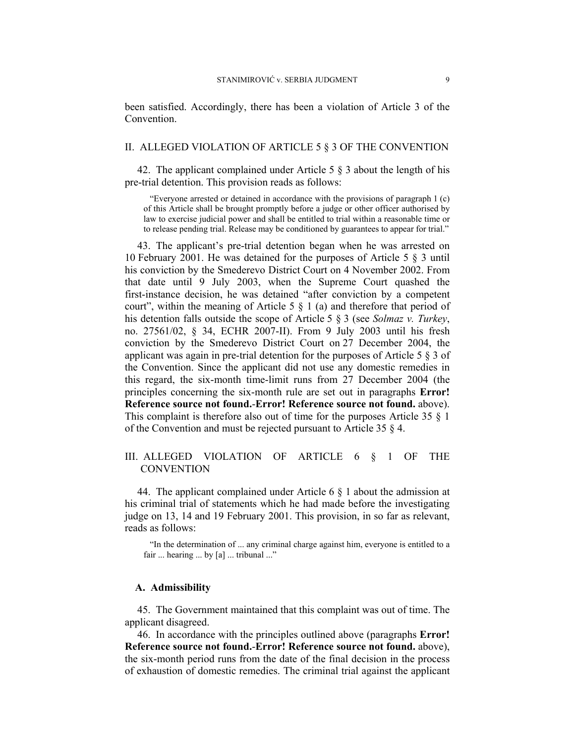been satisfied. Accordingly, there has been a violation of Article 3 of the Convention.

#### II. ALLEGED VIOLATION OF ARTICLE 5 § 3 OF THE CONVENTION

42. The applicant complained under Article 5 § 3 about the length of his pre-trial detention. This provision reads as follows:

"Everyone arrested or detained in accordance with the provisions of paragraph 1 (c) of this Article shall be brought promptly before a judge or other officer authorised by law to exercise judicial power and shall be entitled to trial within a reasonable time or to release pending trial. Release may be conditioned by guarantees to appear for trial."

43. The applicant's pre-trial detention began when he was arrested on 10 February 2001. He was detained for the purposes of Article 5 § 3 until his conviction by the Smederevo District Court on 4 November 2002. From that date until 9 July 2003, when the Supreme Court quashed the first-instance decision, he was detained "after conviction by a competent court", within the meaning of Article 5  $\S$  1 (a) and therefore that period of his detention falls outside the scope of Article 5 § 3 (see *Solmaz v. Turkey*, no. 27561/02, § 34, ECHR 2007-II). From 9 July 2003 until his fresh conviction by the Smederevo District Court on 27 December 2004, the applicant was again in pre-trial detention for the purposes of Article 5 § 3 of the Convention. Since the applicant did not use any domestic remedies in this regard, the six-month time-limit runs from 27 December 2004 (the principles concerning the six-month rule are set out in paragraphs **Error! Reference source not found.**-**Error! Reference source not found.** above). This complaint is therefore also out of time for the purposes Article 35 § 1 of the Convention and must be rejected pursuant to Article 35 § 4.

## III. ALLEGED VIOLATION OF ARTICLE 6 § 1 OF THE **CONVENTION**

44. The applicant complained under Article 6 § 1 about the admission at his criminal trial of statements which he had made before the investigating judge on 13, 14 and 19 February 2001. This provision, in so far as relevant, reads as follows:

"In the determination of ... any criminal charge against him, everyone is entitled to a fair ... hearing ... by [a] ... tribunal ..."

#### **A. Admissibility**

45. The Government maintained that this complaint was out of time. The applicant disagreed.

46. In accordance with the principles outlined above (paragraphs **Error! Reference source not found.**-**Error! Reference source not found.** above), the six-month period runs from the date of the final decision in the process of exhaustion of domestic remedies. The criminal trial against the applicant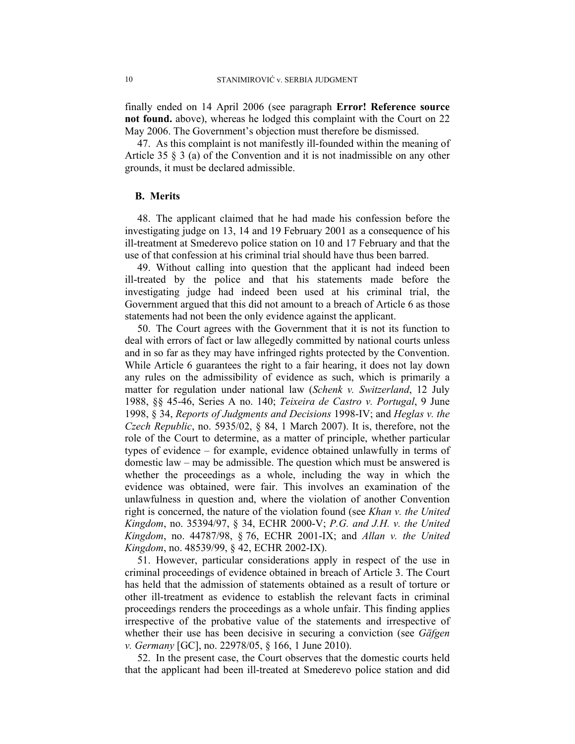finally ended on 14 April 2006 (see paragraph **Error! Reference source not found.** above), whereas he lodged this complaint with the Court on 22 May 2006. The Government's objection must therefore be dismissed.

47. As this complaint is not manifestly ill-founded within the meaning of Article 35 § 3 (a) of the Convention and it is not inadmissible on any other grounds, it must be declared admissible.

#### **B. Merits**

48. The applicant claimed that he had made his confession before the investigating judge on 13, 14 and 19 February 2001 as a consequence of his ill-treatment at Smederevo police station on 10 and 17 February and that the use of that confession at his criminal trial should have thus been barred.

49. Without calling into question that the applicant had indeed been ill-treated by the police and that his statements made before the investigating judge had indeed been used at his criminal trial, the Government argued that this did not amount to a breach of Article 6 as those statements had not been the only evidence against the applicant.

50. The Court agrees with the Government that it is not its function to deal with errors of fact or law allegedly committed by national courts unless and in so far as they may have infringed rights protected by the Convention. While Article 6 guarantees the right to a fair hearing, it does not lay down any rules on the admissibility of evidence as such, which is primarily a matter for regulation under national law (*Schenk v. Switzerland*, 12 July 1988, §§ 45-46, Series A no. 140; *Teixeira de Castro v. Portugal*, 9 June 1998, § 34, *Reports of Judgments and Decisions* 1998-IV; and *Heglas v. the Czech Republic*, no. 5935/02, § 84, 1 March 2007). It is, therefore, not the role of the Court to determine, as a matter of principle, whether particular types of evidence – for example, evidence obtained unlawfully in terms of domestic law – may be admissible. The question which must be answered is whether the proceedings as a whole, including the way in which the evidence was obtained, were fair. This involves an examination of the unlawfulness in question and, where the violation of another Convention right is concerned, the nature of the violation found (see *Khan v. the United Kingdom*, no. 35394/97, § 34, ECHR 2000-V; *P.G. and J.H. v. the United Kingdom*, no. 44787/98, § 76, ECHR 2001-IX; and *Allan v. the United Kingdom*, no. 48539/99, § 42, ECHR 2002-IX).

51. However, particular considerations apply in respect of the use in criminal proceedings of evidence obtained in breach of Article 3. The Court has held that the admission of statements obtained as a result of torture or other ill-treatment as evidence to establish the relevant facts in criminal proceedings renders the proceedings as a whole unfair. This finding applies irrespective of the probative value of the statements and irrespective of whether their use has been decisive in securing a conviction (see *Gäfgen v. Germany* [GC], no. 22978/05, § 166, 1 June 2010).

52. In the present case, the Court observes that the domestic courts held that the applicant had been ill-treated at Smederevo police station and did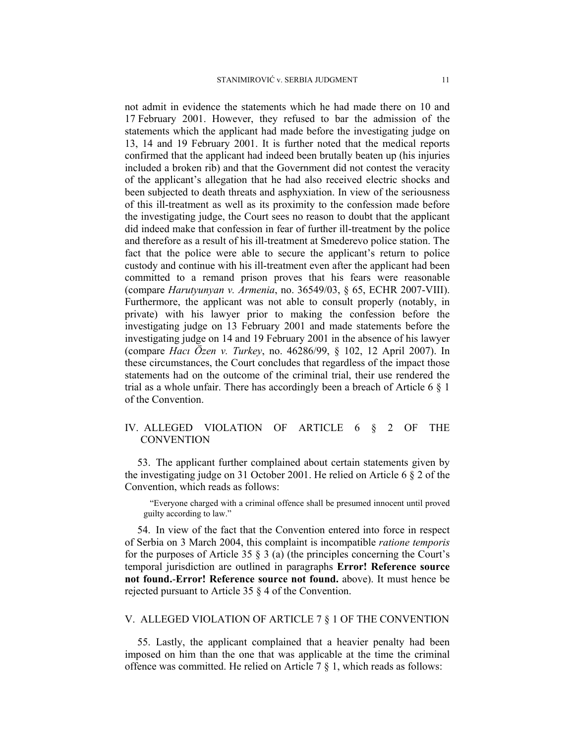not admit in evidence the statements which he had made there on 10 and 17 February 2001. However, they refused to bar the admission of the statements which the applicant had made before the investigating judge on 13, 14 and 19 February 2001. It is further noted that the medical reports confirmed that the applicant had indeed been brutally beaten up (his injuries included a broken rib) and that the Government did not contest the veracity of the applicant's allegation that he had also received electric shocks and been subjected to death threats and asphyxiation. In view of the seriousness of this ill-treatment as well as its proximity to the confession made before the investigating judge, the Court sees no reason to doubt that the applicant did indeed make that confession in fear of further ill-treatment by the police and therefore as a result of his ill-treatment at Smederevo police station. The fact that the police were able to secure the applicant's return to police custody and continue with his ill-treatment even after the applicant had been committed to a remand prison proves that his fears were reasonable (compare *Harutyunyan v. Armenia*, no. 36549/03, § 65, ECHR 2007-VIII). Furthermore, the applicant was not able to consult properly (notably, in private) with his lawyer prior to making the confession before the investigating judge on 13 February 2001 and made statements before the investigating judge on 14 and 19 February 2001 in the absence of his lawyer (compare *Hacı Özen v. Turkey*, no. 46286/99, § 102, 12 April 2007). In these circumstances, the Court concludes that regardless of the impact those statements had on the outcome of the criminal trial, their use rendered the trial as a whole unfair. There has accordingly been a breach of Article 6 § 1 of the Convention.

## IV. ALLEGED VIOLATION OF ARTICLE 6 § 2 OF THE **CONVENTION**

53. The applicant further complained about certain statements given by the investigating judge on 31 October 2001. He relied on Article 6 § 2 of the Convention, which reads as follows:

"Everyone charged with a criminal offence shall be presumed innocent until proved guilty according to law."

54. In view of the fact that the Convention entered into force in respect of Serbia on 3 March 2004, this complaint is incompatible *ratione temporis* for the purposes of Article 35  $\S$  3 (a) (the principles concerning the Court's temporal jurisdiction are outlined in paragraphs **Error! Reference source not found.**-**Error! Reference source not found.** above). It must hence be rejected pursuant to Article 35 § 4 of the Convention.

## V. ALLEGED VIOLATION OF ARTICLE 7 § 1 OF THE CONVENTION

55. Lastly, the applicant complained that a heavier penalty had been imposed on him than the one that was applicable at the time the criminal offence was committed. He relied on Article 7 § 1, which reads as follows: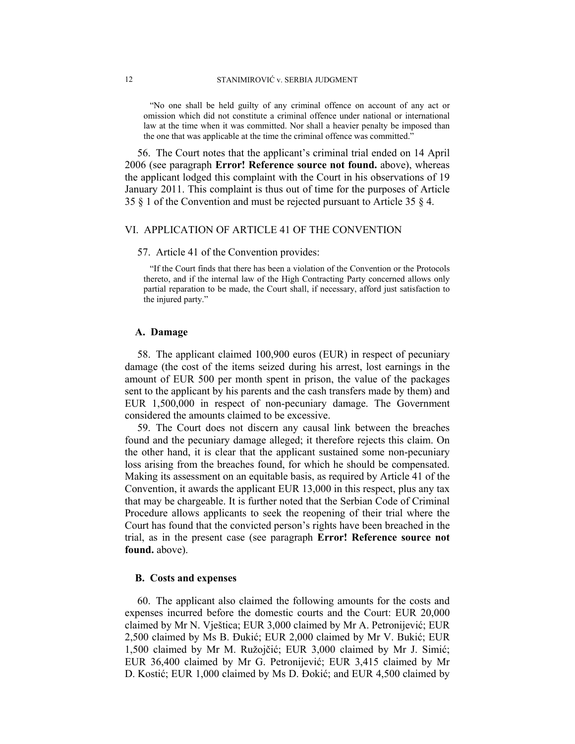"No one shall be held guilty of any criminal offence on account of any act or omission which did not constitute a criminal offence under national or international law at the time when it was committed. Nor shall a heavier penalty be imposed than the one that was applicable at the time the criminal offence was committed."

56. The Court notes that the applicant's criminal trial ended on 14 April 2006 (see paragraph **Error! Reference source not found.** above), whereas the applicant lodged this complaint with the Court in his observations of 19 January 2011. This complaint is thus out of time for the purposes of Article 35 § 1 of the Convention and must be rejected pursuant to Article 35 § 4.

## VI. APPLICATION OF ARTICLE 41 OF THE CONVENTION

#### 57. Article 41 of the Convention provides:

"If the Court finds that there has been a violation of the Convention or the Protocols thereto, and if the internal law of the High Contracting Party concerned allows only partial reparation to be made, the Court shall, if necessary, afford just satisfaction to the injured party."

#### **A. Damage**

58. The applicant claimed 100,900 euros (EUR) in respect of pecuniary damage (the cost of the items seized during his arrest, lost earnings in the amount of EUR 500 per month spent in prison, the value of the packages sent to the applicant by his parents and the cash transfers made by them) and EUR 1,500,000 in respect of non-pecuniary damage. The Government considered the amounts claimed to be excessive.

59. The Court does not discern any causal link between the breaches found and the pecuniary damage alleged; it therefore rejects this claim. On the other hand, it is clear that the applicant sustained some non-pecuniary loss arising from the breaches found, for which he should be compensated. Making its assessment on an equitable basis, as required by Article 41 of the Convention, it awards the applicant EUR 13,000 in this respect, plus any tax that may be chargeable. It is further noted that the Serbian Code of Criminal Procedure allows applicants to seek the reopening of their trial where the Court has found that the convicted person's rights have been breached in the trial, as in the present case (see paragraph **Error! Reference source not found.** above).

#### **B. Costs and expenses**

60. The applicant also claimed the following amounts for the costs and expenses incurred before the domestic courts and the Court: EUR 20,000 claimed by Mr N. Vještica; EUR 3,000 claimed by Mr A. Petronijević; EUR 2,500 claimed by Ms B. Đukić; EUR 2,000 claimed by Mr V. Bukić; EUR 1,500 claimed by Mr M. Ružojčić; EUR 3,000 claimed by Mr J. Simić; EUR 36,400 claimed by Mr G. Petronijević; EUR 3,415 claimed by Mr D. Kostić; EUR 1,000 claimed by Ms D. Đokić; and EUR 4,500 claimed by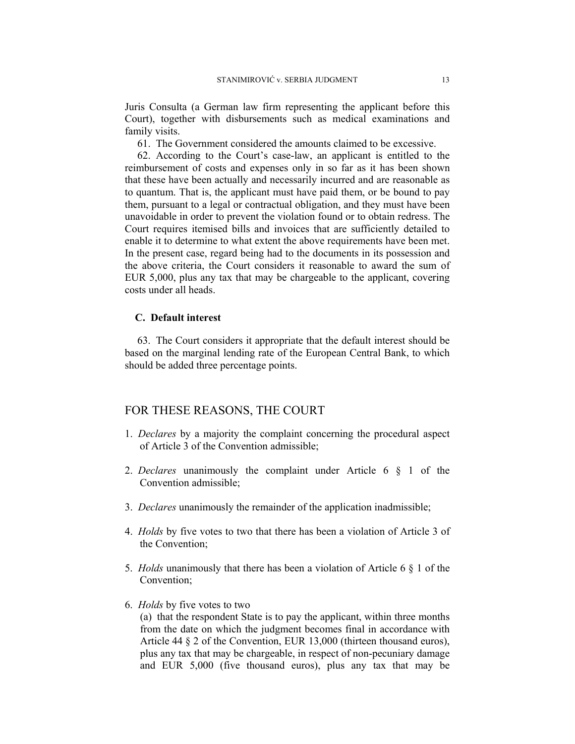Juris Consulta (a German law firm representing the applicant before this Court), together with disbursements such as medical examinations and family visits.

61. The Government considered the amounts claimed to be excessive.

62. According to the Court's case-law, an applicant is entitled to the reimbursement of costs and expenses only in so far as it has been shown that these have been actually and necessarily incurred and are reasonable as to quantum. That is, the applicant must have paid them, or be bound to pay them, pursuant to a legal or contractual obligation, and they must have been unavoidable in order to prevent the violation found or to obtain redress. The Court requires itemised bills and invoices that are sufficiently detailed to enable it to determine to what extent the above requirements have been met. In the present case, regard being had to the documents in its possession and the above criteria, the Court considers it reasonable to award the sum of EUR 5,000, plus any tax that may be chargeable to the applicant, covering costs under all heads.

## **C. Default interest**

63. The Court considers it appropriate that the default interest should be based on the marginal lending rate of the European Central Bank, to which should be added three percentage points.

## FOR THESE REASONS, THE COURT

- 1. *Declares* by a majority the complaint concerning the procedural aspect of Article 3 of the Convention admissible;
- 2. *Declares* unanimously the complaint under Article 6 § 1 of the Convention admissible;
- 3. *Declares* unanimously the remainder of the application inadmissible;
- 4. *Holds* by five votes to two that there has been a violation of Article 3 of the Convention;
- 5. *Holds* unanimously that there has been a violation of Article 6 § 1 of the Convention;
- 6. *Holds* by five votes to two

(a) that the respondent State is to pay the applicant, within three months from the date on which the judgment becomes final in accordance with Article 44 § 2 of the Convention, EUR 13,000 (thirteen thousand euros), plus any tax that may be chargeable, in respect of non-pecuniary damage and EUR 5,000 (five thousand euros), plus any tax that may be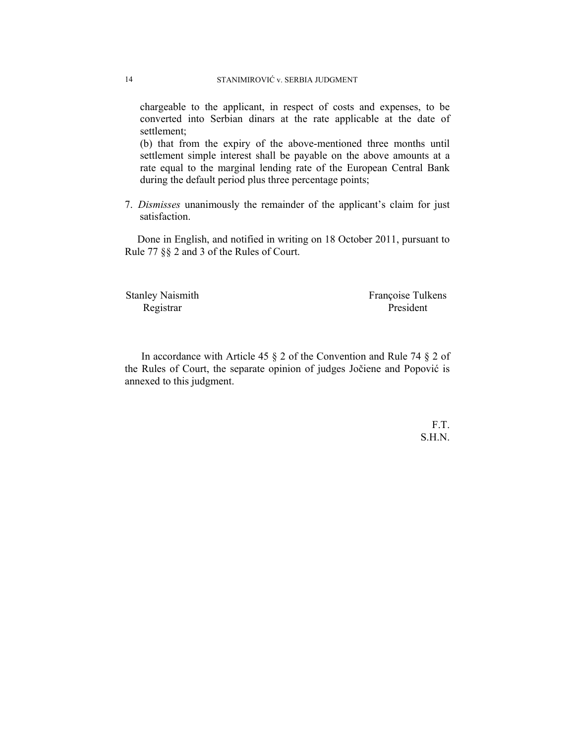chargeable to the applicant, in respect of costs and expenses, to be converted into Serbian dinars at the rate applicable at the date of settlement;

(b) that from the expiry of the above-mentioned three months until settlement simple interest shall be payable on the above amounts at a rate equal to the marginal lending rate of the European Central Bank during the default period plus three percentage points;

7. *Dismisses* unanimously the remainder of the applicant's claim for just satisfaction.

Done in English, and notified in writing on 18 October 2011, pursuant to Rule 77 §§ 2 and 3 of the Rules of Court.

Stanley Naismith Françoise Tulkens Registrar President

In accordance with Article 45 § 2 of the Convention and Rule 74 § 2 of the Rules of Court, the separate opinion of judges Jočiene and Popović is annexed to this judgment.

> F.T. S.H.N.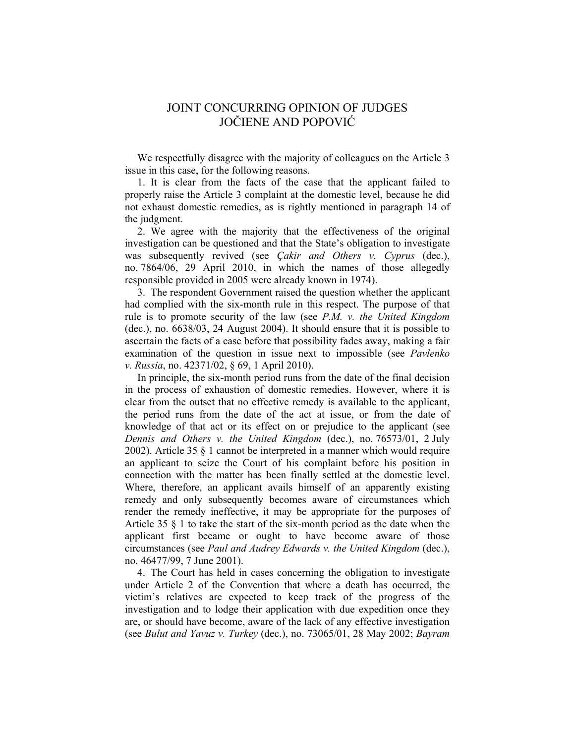## JOINT CONCURRING OPINION OF JUDGES JOČIENE AND POPOVIĆ

We respectfully disagree with the majority of colleagues on the Article 3 issue in this case, for the following reasons.

1. It is clear from the facts of the case that the applicant failed to properly raise the Article 3 complaint at the domestic level, because he did not exhaust domestic remedies, as is rightly mentioned in paragraph 14 of the judgment.

2. We agree with the majority that the effectiveness of the original investigation can be questioned and that the State's obligation to investigate was subsequently revived (see *Çakir and Others v. Cyprus* (dec.), no. 7864/06, 29 April 2010, in which the names of those allegedly responsible provided in 2005 were already known in 1974).

3. The respondent Government raised the question whether the applicant had complied with the six-month rule in this respect. The purpose of that rule is to promote security of the law (see *P.M. v. the United Kingdom* (dec.), no. 6638/03, 24 August 2004). It should ensure that it is possible to ascertain the facts of a case before that possibility fades away, making a fair examination of the question in issue next to impossible (see *Pavlenko v. Russia*, no. 42371/02, § 69, 1 April 2010).

In principle, the six-month period runs from the date of the final decision in the process of exhaustion of domestic remedies. However, where it is clear from the outset that no effective remedy is available to the applicant, the period runs from the date of the act at issue, or from the date of knowledge of that act or its effect on or prejudice to the applicant (see *Dennis and Others v. the United Kingdom* (dec.), no. 76573/01, 2 July 2002). Article 35 § 1 cannot be interpreted in a manner which would require an applicant to seize the Court of his complaint before his position in connection with the matter has been finally settled at the domestic level. Where, therefore, an applicant avails himself of an apparently existing remedy and only subsequently becomes aware of circumstances which render the remedy ineffective, it may be appropriate for the purposes of Article 35 § 1 to take the start of the six-month period as the date when the applicant first became or ought to have become aware of those circumstances (see *Paul and Audrey Edwards v. the United Kingdom* (dec.), no. 46477/99, 7 June 2001).

4. The Court has held in cases concerning the obligation to investigate under Article 2 of the Convention that where a death has occurred, the victim's relatives are expected to keep track of the progress of the investigation and to lodge their application with due expedition once they are, or should have become, aware of the lack of any effective investigation (see *Bulut and Yavuz v. Turkey* (dec.), no. 73065/01, 28 May 2002; *Bayram*